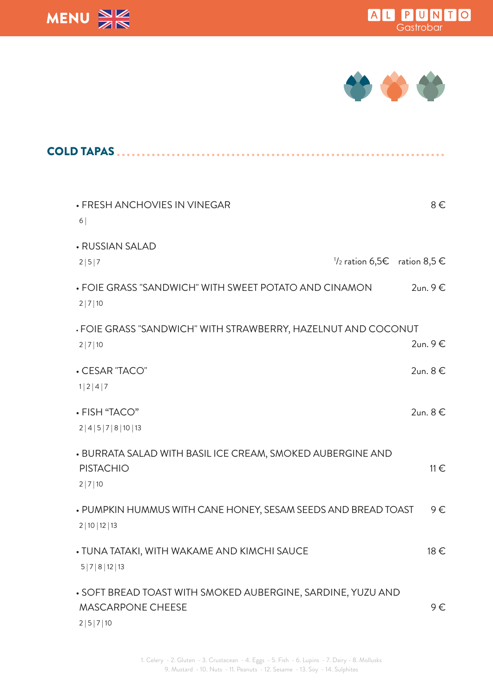





| <b>COLD TAPAS </b>                                                                                  |          |
|-----------------------------------------------------------------------------------------------------|----------|
| . FRESH ANCHOVIES IN VINEGAR<br>6                                                                   | $8 \in$  |
| • RUSSIAN SALAD<br>$\frac{1}{2}$ ration 6,5€ ration 8,5 €<br>2 5 7                                  |          |
| $2un.9 \in$<br>• FOIE GRASS "SANDWICH" WITH SWEET POTATO AND CINAMON<br>2 7 10                      |          |
| . FOIE GRASS "SANDWICH" WITH STRAWBERRY, HAZELNUT AND COCONUT<br>2un. 9 €<br>2 7 10                 |          |
| • CESAR "TACO"<br>$2$ un. $8 \in$<br>1 2 4 7                                                        |          |
| $2$ un. $8 \in$<br>• FISH "TACO"<br>2 4 5 7 8 10 13                                                 |          |
| . BURRATA SALAD WITH BASIL ICE CREAM, SMOKED AUBERGINE AND<br><b>PISTACHIO</b><br>2 7 10            | $11 \in$ |
| • PUMPKIN HUMMUS WITH CANE HONEY, SESAM SEEDS AND BREAD TOAST<br>2 10 12 13                         | $9 \in$  |
| 18 €<br>. TUNA TATAKI, WITH WAKAME AND KIMCHI SAUCE<br>5 7 8 12 13                                  |          |
| • SOFT BREAD TOAST WITH SMOKED AUBERGINE, SARDINE, YUZU AND<br><b>MASCARPONE CHEESE</b><br>2 5 7 10 | $9 \in$  |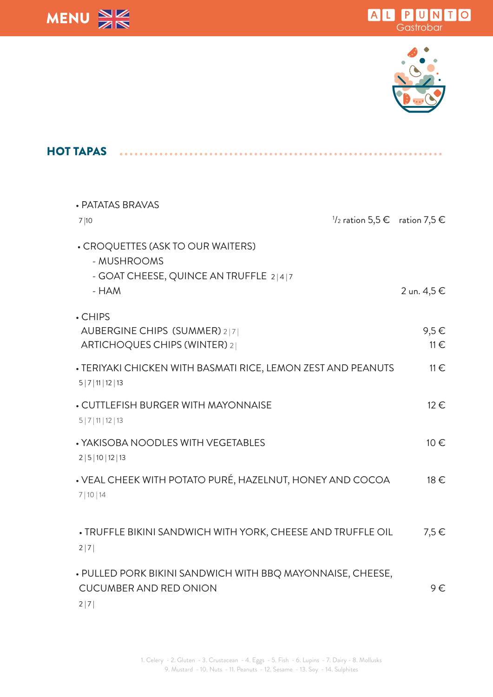





| <b>HOT TAPAS</b>                                                                                     |                       |
|------------------------------------------------------------------------------------------------------|-----------------------|
| • PATATAS BRAVAS<br>$\frac{1}{2}$ ration 5,5 € ration 7,5 €<br>7 10                                  |                       |
| • CROQUETTES (ASK TO OUR WAITERS)<br>- MUSHROOMS<br>- GOAT CHEESE, QUINCE AN TRUFFLE 2 4 7<br>$-HAM$ | 2 un. 4,5 €           |
| . CHIPS<br>AUBERGINE CHIPS (SUMMER) 2 7 <br>ARTICHOQUES CHIPS (WINTER) 2                             | $9,5 \in$<br>$11 \in$ |
| • TERIYAKI CHICKEN WITH BASMATI RICE, LEMON ZEST AND PEANUTS<br>5 7 11 12 13                         | $11 \in$              |
| • CUTTLEFISH BURGER WITH MAYONNAISE<br>5 7 11 12 13                                                  | 12 €                  |
| • YAKISOBA NOODLES WITH VEGETABLES<br>2 5 10 12 13                                                   | 10€                   |
| • VEAL CHEEK WITH POTATO PURÉ, HAZELNUT, HONEY AND COCOA<br>7 10 14                                  | 18 €                  |
| . TRUFFLE BIKINI SANDWICH WITH YORK, CHEESE AND TRUFFLE OIL<br>2 7                                   | $7,5 \in$             |
| • PULLED PORK BIKINI SANDWICH WITH BBQ MAYONNAISE, CHEESE,<br><b>CUCUMBER AND RED ONION</b><br>2 7   | $9 \in$               |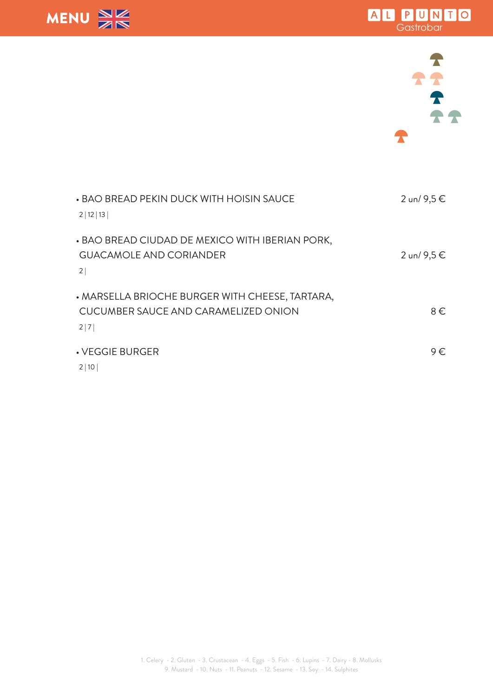





| • BAO BREAD PEKIN DUCK WITH HOISIN SAUCE<br>2 12 13                                            | 2 un/ 9,5 € |
|------------------------------------------------------------------------------------------------|-------------|
| • BAO BREAD CIUDAD DE MEXICO WITH IBERIAN PORK,<br><b>GUACAMOLE AND CORIANDER</b><br>2         | 2 un/ 9,5 € |
| • MARSELLA BRIOCHE BURGER WITH CHEESE, TARTARA,<br>CUCUMBER SAUCE AND CARAMELIZED ONION<br>2 7 | $8 \in$     |
| • VEGGIE BURGER<br>2 10                                                                        | 9€          |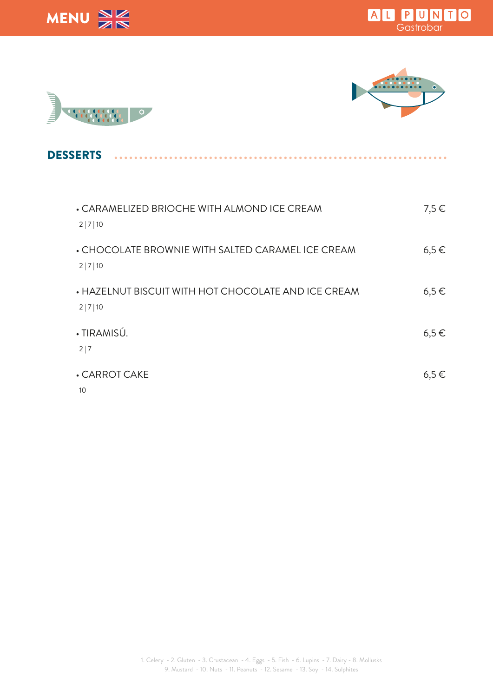







 $\sim$   $\sim$ 

**DESSERTS** 

| • CARAMELIZED BRIOCHE WITH ALMOND ICE CREAM<br>2 7 10         | $7,5 \in$ |
|---------------------------------------------------------------|-----------|
| • CHOCOLATE BROWNIE WITH SALTED CARAMEL ICE CREAM<br>2 7 10   | $6,5 \in$ |
| • HAZELNUT BISCUIT WITH HOT CHOCOLATE AND ICE CREAM<br>2 7 10 | $6,5 \in$ |
| · TIRAMISÚ.<br>2 7                                            | $6,5 \in$ |
| • CARROT CAKE<br>10                                           | $6,5 \in$ |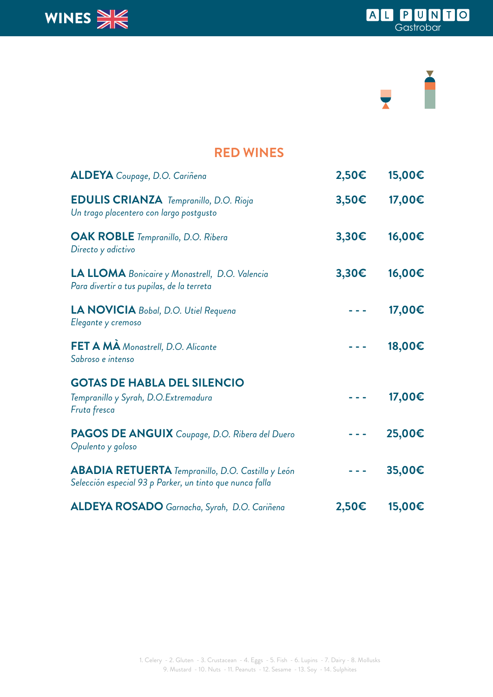

## Ě  $\overline{\phantom{a}}$

#### **RED WINES**

| <b>ALDEYA</b> Coupage, D.O. Cariñena                                                                                 | 2,50€          | 15,00€ |
|----------------------------------------------------------------------------------------------------------------------|----------------|--------|
| <b>EDULIS CRIANZA</b> Tempranillo, D.O. Rioja<br>Un trago placentero con largo postgusto                             | $3,50\epsilon$ | 17,00€ |
| <b>OAK ROBLE</b> Tempranillo, D.O. Ribera<br>Directo y adictivo                                                      | 3,30€          | 16,00€ |
| LA LLOMA Bonicaire y Monastrell, D.O. Valencia<br>Para divertir a tus pupilas, de la terreta                         | 3,30€          | 16,00€ |
| LA NOVICIA Bobal, D.O. Utiel Requena<br>Elegante y cremoso                                                           |                | 17,00€ |
| FET A MA Monastrell, D.O. Alicante<br>Sabroso e intenso                                                              |                | 18,00€ |
| <b>GOTAS DE HABLA DEL SILENCIO</b><br>Tempranillo y Syrah, D.O.Extremadura<br>Fruta fresca                           |                | 17,00€ |
| PAGOS DE ANGUIX Coupage, D.O. Ribera del Duero<br>Opulento y goloso                                                  |                | 25,00€ |
| <b>ABADIA RETUERTA</b> Tempranillo, D.O. Castilla y León<br>Selección especial 93 p Parker, un tinto que nunca falla |                | 35,00€ |
| ALDEYA ROSADO Garnacha, Syrah, D.O. Cariñena                                                                         | $2,50 \in$     | 15,00€ |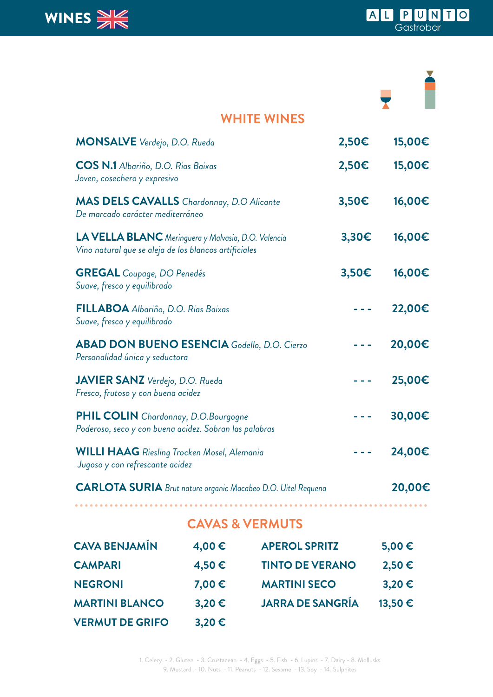

### **WHITE WINES MONSALVE** *Verdejo, D.O. Rueda* **2,50€ 15,00€ COS N.1** *Albariño, D.O. Rias Baixas* **2,50€ 15,00€** *Joven, cosechero y expresivo* **MAS DELS CAVALLS** *Chardonnay, D.O Alicante* **3,50€ 16,00€** *De marcado carácter mediterráneo* **LA VELLA BLANC** *Meringuera y Malvasía, D.O. Valencia* **3,30€ 16,00€** *Vino natural que se aleja de los blancos artificiales* **GREGAL** *Coupage, DO Penedés* **3,50€ 16,00€** *Suave, fresco y equilibrado* **FILLABOA** *Albariño, D.O. Rias Baixas* **- - - 22,00€** *Suave, fresco y equilibrado* **ABAD DON BUENO ESENCIA** *Godello, D.O. Cierzo* **- - - 20,00€** *Personalidad única y seductora* **JAVIER SANZ** *Verdejo, D.O. Rueda* **- - - 25,00€** *Fresco, frutoso y con buena acidez* **PHIL COLIN** *Chardonnay, D.O.Bourgogne* **- - - 30,00€** *Poderoso, seco y con buena acidez. Sobran las palabras* **WILLI HAAG** *Riesling Trocken Mosel, Alemania* **- - - 24,00€**  *Jugoso y con refrescante acidez* **CARLOTA SURIA** *Brut nature organic Macabeo D.O. Uitel Requena* **20,00€**

#### **CAVAS & VERMUTS**

. . . . . . . . . . . . .

| <b>CAVA BENJAMÍN</b>   | 4,00€      | <b>APEROL SPRITZ</b>    | 5,00 $\epsilon$ |
|------------------------|------------|-------------------------|-----------------|
| <b>CAMPARI</b>         | 4,50€      | <b>TINTO DE VERANO</b>  | 2,50€           |
| <b>NEGRONI</b>         | 7,00 €     | <b>MARTINI SECO</b>     | $3,20 \in$      |
| <b>MARTINI BLANCO</b>  | $3,20 \in$ | <b>JARRA DE SANGRÍA</b> | 13,50€          |
| <b>VERMUT DE GRIFO</b> | $3,20 \in$ |                         |                 |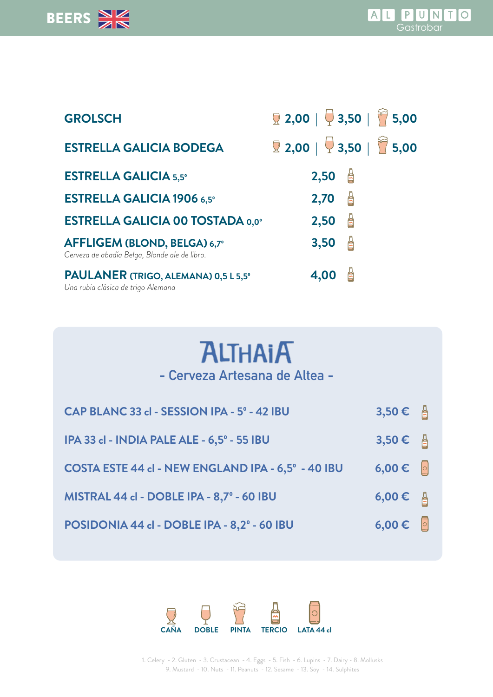

| <b>GROLSCH</b>                                                                | <b>2,00</b>   $\bigcirc$ 3,50   <b>7</b> 5,00  |
|-------------------------------------------------------------------------------|------------------------------------------------|
| <b>ESTRELLA GALICIA BODEGA</b>                                                | 2,00   $\frac{1}{2}$ 3,50   $\frac{1}{2}$ 5,00 |
| <b>ESTRELLA GALICIA 5,5°</b>                                                  | $2,50$ $\triangleq$                            |
| <b>ESTRELLA GALICIA 1906 6,5°</b>                                             | $\frac{1}{2}$<br>2,70                          |
| <b>ESTRELLA GALICIA 00 TOSTADA 0,0°</b>                                       | $\triangleq$<br>2,50                           |
| AFFLIGEM (BLOND, BELGA) 6,7°<br>Cerveza de abadía Belga, Blonde ale de libro. | $\triangle$<br>3,50                            |
| PAULANER (TRIGO, ALEMANA) 0,5 L 5,5°<br>Una rubia clásica de trigo Alemana    | 台<br>4,00                                      |

# **ALTHAIA**

**- Cerveza Artesana de Altea -**

| CAP BLANC 33 cl - SESSION IPA - 5° - 42 IBU        | 3,50 € $\triangleq$   |  |
|----------------------------------------------------|-----------------------|--|
| IPA 33 cl - INDIA PALE ALE - 6,5° - 55 IBU         | $3,50$ € $\triangleq$ |  |
| COSTA ESTE 44 cl - NEW ENGLAND IPA - 6,5° - 40 IBU | $6,00 \in \Box$       |  |
| MISTRAL 44 cl - DOBLE IPA - 8,7º - 60 IBU          | 6,00 € $\triangleq$   |  |
| POSIDONIA 44 cl - DOBLE IPA - 8,2º - 60 IBU        | $6,00 \in \Box$       |  |



1. Celery - 2. Gluten - 3. Crustacean - 4. Eggs - 5. Fish - 6. Lupins - 7. Dairy - 8. Mollusks 9. Mustard - 10. Nuts - 11. Peanuts - 12. Sesame - 13. Soy - 14. Sulphites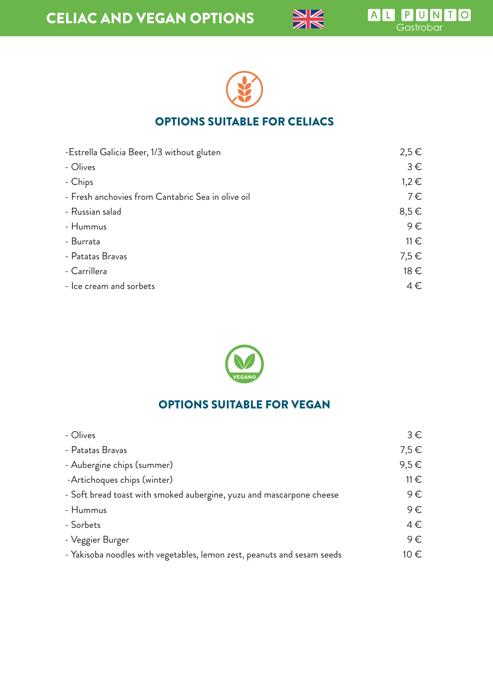



#### OPTIONS SUITABLE FOR CELIACS

| -Estrella Galicia Beer, 1/3 without gluten        | $2,5 \in$ |
|---------------------------------------------------|-----------|
| - Olives                                          | $3 \in$   |
| - Chips                                           | $1,2 \in$ |
| - Fresh anchovies from Cantabric Sea in olive oil | $7 \in$   |
| - Russian salad                                   | $8,5 \in$ |
| - Hummus                                          | $9 \in$   |
| - Burrata                                         | $11 \in$  |
| - Patatas Bravas                                  | $7,5 \in$ |
| - Carrillera                                      | 18 €      |
| - Ice cream and sorbets                           | $4 \in$   |



#### OPTIONS SUITABLE FOR VEGAN

| - Olives                                                                | $3 \in$  |
|-------------------------------------------------------------------------|----------|
| - Patatas Bravas                                                        | 7,5€     |
| - Aubergine chips (summer)                                              | 9,5€     |
| -Artichoques chips (winter)                                             | $11 \in$ |
| - Soft bread toast with smoked aubergine, yuzu and mascarpone cheese    | $9 \in$  |
| - Hummus                                                                | $9 \in$  |
| - Sorbets                                                               | $4 \in$  |
| - Veggier Burger                                                        | $9 \in$  |
| - Yakisoba noodles with vegetables, lemon zest, peanuts and sesam seeds | 10 €     |